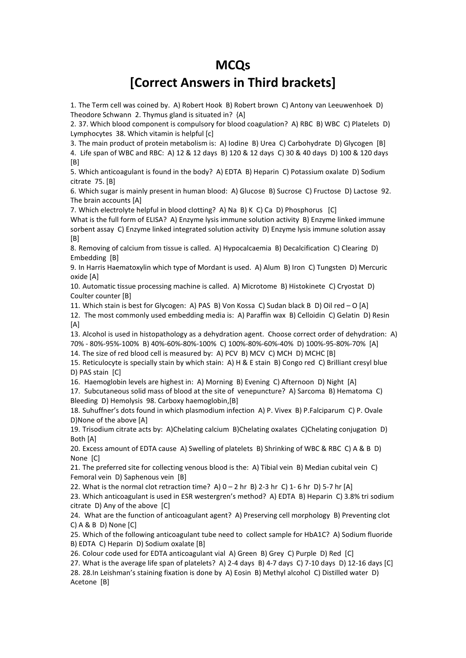## **MCQs**

## **[Correct Answers in Third brackets]**

1. The Term cell was coined by. A) Robert Hook B) Robert brown C) Antony van Leeuwenhoek D) Theodore Schwann 2. Thymus gland is situated in? {A]

2. 37. Which blood component is compulsory for blood coagulation? A) RBC B) WBC C) Platelets D) Lymphocytes 38. Which vitamin is helpful [c]

3. The main product of protein metabolism is: A) Iodine B) Urea C) Carbohydrate D) Glycogen [B] 4. Life span of WBC and RBC: A) 12 & 12 days B) 120 & 12 days C) 30 & 40 days D) 100 & 120 days [B]

5. Which anticoagulant is found in the body? A) EDTA B) Heparin C) Potassium oxalate D) Sodium citrate 75. [B]

6. Which sugar is mainly present in human blood: A) Glucose B) Sucrose C) Fructose D) Lactose 92. The brain accounts [A]

7. Which electrolyte helpful in blood clotting? A) Na B) K C) Ca D) Phosphorus [C]

What is the full form of ELISA? A) Enzyme lysis immune solution activity B) Enzyme linked immune sorbent assay C) Enzyme linked integrated solution activity D) Enzyme lysis immune solution assay [B]

8. Removing of calcium from tissue is called. A) Hypocalcaemia B) Decalcification C) Clearing D) Embedding [B]

9. In Harris Haematoxylin which type of Mordant is used. A) Alum B) Iron C) Tungsten D) Mercuric oxide [A]

10. Automatic tissue processing machine is called. A) Microtome B) Histokinete C) Cryostat D) Coulter counter [B]

11. Which stain is best for Glycogen: A) PAS B) Von Kossa C) Sudan black B D) Oil red – O [A] 12. The most commonly used embedding media is: A) Paraffin wax B) Celloidin C) Gelatin D) Resin  $[A]$ 

13. Alcohol is used in histopathology as a dehydration agent. Choose correct order of dehydration: A) 70% - 80%-95%-100% B) 40%-60%-80%-100% C) 100%-80%-60%-40% D) 100%-95-80%-70% [A]

14. The size of red blood cell is measured by: A) PCV B) MCV C) MCH D) MCHC [B]

15. Reticulocyte is specially stain by which stain: A) H & E stain B) Congo red C) Brilliant cresyl blue D) PAS stain [C]

16. Haemoglobin levels are highest in: A) Morning B) Evening C) Afternoon D) Night [A]

17. Subcutaneous solid mass of blood at the site of venepuncture? A) Sarcoma B) Hematoma C) Bleeding D) Hemolysis 98. Carboxy haemoglobin,[B]

18. Suhuffner's dots found in which plasmodium infection A) P. Vivex B) P.Falciparum C) P. Ovale D)None of the above [A]

19. Trisodium citrate acts by: A)Chelating calcium B)Chelating oxalates C)Chelating conjugation D) Both [A]

20. Excess amount of EDTA cause A) Swelling of platelets B) Shrinking of WBC & RBC C) A & B D) None [C]

21. The preferred site for collecting venous blood is the: A) Tibial vein B) Median cubital vein C) Femoral vein D) Saphenous vein [B]

22. What is the normal clot retraction time? A)  $0 - 2$  hr B) 2-3 hr C) 1-6 hr D) 5-7 hr [A]

23. Which anticoagulant is used in ESR westergren's method? A) EDTA B) Heparin C) 3.8% tri sodium citrate D) Any of the above [C]

24. What are the function of anticoagulant agent? A) Preserving cell morphology B) Preventing clot C) A & B D) None [C]

25. Which of the following anticoagulant tube need to collect sample for HbA1C? A) Sodium fluoride B) EDTA C) Heparin D) Sodium oxalate [B]

26. Colour code used for EDTA anticoagulant vial A) Green B) Grey C) Purple D) Red [C]

27. What is the average life span of platelets? A) 2-4 days B) 4-7 days C) 7-10 days D) 12-16 days [C]

28. 28.In Leishman's staining fixation is done by A) Eosin B) Methyl alcohol C) Distilled water D) Acetone [B]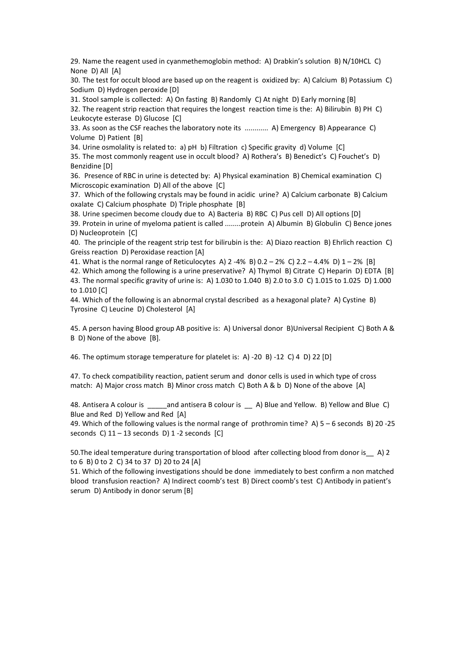29. Name the reagent used in cyanmethemoglobin method: A) Drabkin's solution B) N/10HCL C) None D) All [A]

30. The test for occult blood are based up on the reagent is oxidized by: A) Calcium B) Potassium C) Sodium D) Hydrogen peroxide [D]

31. Stool sample is collected: A) On fasting B) Randomly C) At night D) Early morning [B] 32. The reagent strip reaction that requires the longest reaction time is the: A) Bilirubin B) PH C) Leukocyte esterase D) Glucose [C]

33. As soon as the CSF reaches the laboratory note its ............ A) Emergency B) Appearance C) Volume D) Patient [B]

34. Urine osmolality is related to: a) pH b) Filtration c) Specific gravity d) Volume [C]

35. The most commonly reagent use in occult blood? A) Rothera's B) Benedict's C) Fouchet's D) Benzidine [D]

36. Presence of RBC in urine is detected by: A) Physical examination B) Chemical examination C) Microscopic examination D) All of the above [C]

37. Which of the following crystals may be found in acidic urine? A) Calcium carbonate B) Calcium oxalate C) Calcium phosphate D) Triple phosphate [B]

38. Urine specimen become cloudy due to A) Bacteria B) RBC C) Pus cell D) All options [D]

39. Protein in urine of myeloma patient is called ........protein A) Albumin B) Globulin C) Bence jones D) Nucleoprotein [C]

40. The principle of the reagent strip test for bilirubin is the: A) Diazo reaction B) Ehrlich reaction C) Greiss reaction D) Peroxidase reaction [A]

41. What is the normal range of Reticulocytes A)  $2 - 4\%$  B) 0.2 – 2% C) 2.2 – 4.4% D) 1 – 2% [B]

42. Which among the following is a urine preservative? A) Thymol B) Citrate C) Heparin D) EDTA [B] 43. The normal specific gravity of urine is: A) 1.030 to 1.040 B) 2.0 to 3.0 C) 1.015 to 1.025 D) 1.000 to 1.010 [C]

44. Which of the following is an abnormal crystal described as a hexagonal plate? A) Cystine B) Tyrosine C) Leucine D) Cholesterol [A]

45. A person having Blood group AB positive is: A) Universal donor B)Universal Recipient C) Both A & B D) None of the above [B].

46. The optimum storage temperature for platelet is: A) -20 B) -12 C) 4 D) 22 [D]

47. To check compatibility reaction, patient serum and donor cells is used in which type of cross match: A) Major cross match B) Minor cross match C) Both A & b D) None of the above [A]

48. Antisera A colour is \_\_\_\_\_and antisera B colour is \_\_ A) Blue and Yellow. B) Yellow and Blue C) Blue and Red D) Yellow and Red [A]

49. Which of the following values is the normal range of prothromin time? A) 5 – 6 seconds B) 20 -25 seconds C)  $11 - 13$  seconds D)  $1 - 2$  seconds [C]

50. The ideal temperature during transportation of blood after collecting blood from donor is A) 2 to 6 B) 0 to 2 C) 34 to 37 D) 20 to 24 [A]

51. Which of the following investigations should be done immediately to best confirm a non matched blood transfusion reaction? A) Indirect coomb's test B) Direct coomb's test C) Antibody in patient's serum D) Antibody in donor serum [B]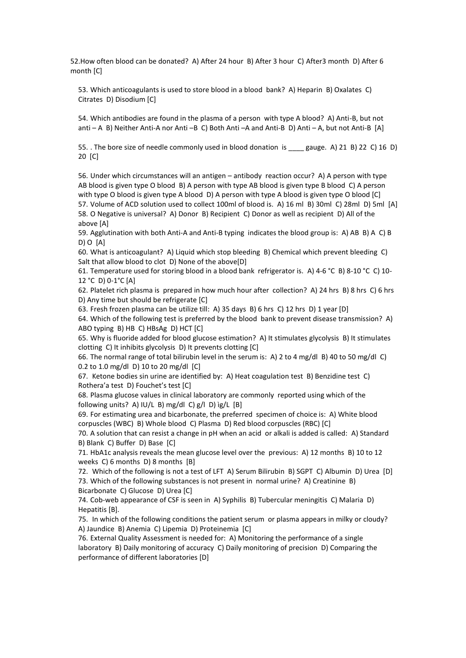52.How often blood can be donated? A) After 24 hour B) After 3 hour C) After3 month D) After 6 month [C]

53. Which anticoagulants is used to store blood in a blood bank? A) Heparin B) Oxalates C) Citrates D) Disodium [C]

54. Which antibodies are found in the plasma of a person with type A blood? A) Anti-B, but not anti – A B) Neither Anti-A nor Anti –B C) Both Anti –A and Anti-B D) Anti – A, but not Anti-B [A]

55. . The bore size of needle commonly used in blood donation is \_\_\_\_ gauge. A) 21 B) 22 C) 16 D) 20 [C]

56. Under which circumstances will an antigen – antibody reaction occur? A) A person with type AB blood is given type O blood B) A person with type AB blood is given type B blood C) A person with type O blood is given type A blood D) A person with type A blood is given type O blood [C] 57. Volume of ACD solution used to collect 100ml of blood is. A) 16 ml B) 30ml C) 28ml D) 5ml [A] 58. O Negative is universal? A) Donor B) Recipient C) Donor as well as recipient D) All of the above [A]

59. Agglutination with both Anti-A and Anti-B typing indicates the blood group is: A) AB B) A C) B D) O [A]

60. What is anticoagulant? A) Liquid which stop bleeding B) Chemical which prevent bleeding C) Salt that allow blood to clot D) None of the above[D]

61. Temperature used for storing blood in a blood bank refrigerator is. A) 4-6 °C B) 8-10 °C C) 10-12 °C D) 0-1°C [A]

62. Platelet rich plasma is prepared in how much hour after collection? A) 24 hrs B) 8 hrs C) 6 hrs D) Any time but should be refrigerate [C]

63. Fresh frozen plasma can be utilize till: A) 35 days B) 6 hrs C) 12 hrs D) 1 year [D]

64. Which of the following test is preferred by the blood bank to prevent disease transmission? A) ABO typing B) HB C) HBsAg D) HCT [C]

65. Why is fluoride added for blood glucose estimation? A) It stimulates glycolysis B) It stimulates clotting C) It inhibits glycolysis D) It prevents clotting [C]

66. The normal range of total bilirubin level in the serum is: A) 2 to 4 mg/dl B) 40 to 50 mg/dl C) 0.2 to 1.0 mg/dl D) 10 to 20 mg/dl [C]

67. Ketone bodies sin urine are identified by: A) Heat coagulation test B) Benzidine test C) Rothera'a test D) Fouchet's test [C]

68. Plasma glucose values in clinical laboratory are commonly reported using which of the following units? A) IU/L B) mg/dl C)  $g/I$  D)  $ig/L$  [B]

69. For estimating urea and bicarbonate, the preferred specimen of choice is: A) White blood corpuscles (WBC) B) Whole blood C) Plasma D) Red blood corpuscles (RBC) [C]

70. A solution that can resist a change in pH when an acid or alkali is added is called: A) Standard B) Blank C) Buffer D) Base [C]

71. HbA1c analysis reveals the mean glucose level over the previous: A) 12 months B) 10 to 12 weeks C) 6 months D) 8 months [B]

72. Which of the following is not a test of LFT A) Serum Bilirubin B) SGPT C) Albumin D) Urea [D] 73. Which of the following substances is not present in normal urine? A) Creatinine B) Bicarbonate C) Glucose D) Urea [C]

74. Cob-web appearance of CSF is seen in A) Syphilis B) Tubercular meningitis C) Malaria D) Hepatitis [B].

75. In which of the following conditions the patient serum or plasma appears in milky or cloudy? A) Jaundice B) Anemia C) Lipemia D) Proteinemia [C]

76. External Quality Assessment is needed for: A) Monitoring the performance of a single laboratory B) Daily monitoring of accuracy C) Daily monitoring of precision D) Comparing the performance of different laboratories [D]